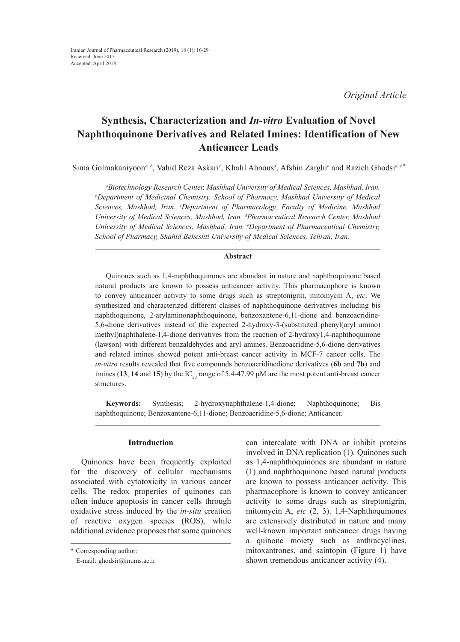*Original Article*

# **Synthesis, Characterization and** *In-vitro* **Evaluation of Novel Naphthoquinone Derivatives and Related Imines: Identification of New Anticancer Leads**

Sima Golmakaniyoon*a, b*, Vahid Reza Askari*<sup>c</sup>* , Khalil Abnous*<sup>d</sup>* , Afshin Zarghi*<sup>e</sup>* and Razieh Ghodsi*a, b\**

*a Biotechnology Research Center, Mashhad University of Medical Sciences, Mashhad, Iran. b* <sup>*b*</sup>Department of Medicinal Chemistry, School of Pharmacy, Mashhad University of Medical Sciences, Mashhad, Iran. <sup>c</sup>Department of Pharmacology, Faculty of Medicine, Mashhad *University of Medical Sciences, Mashhad, Iran. d Pharmaceutical Research Center, Mashhad University of Medical Sciences, Mashhad, Iran. e Department of Pharmaceutical Chemistry, School of Pharmacy, Shahid Beheshti University of Medical Sciences, Tehran, Iran.*

## **Abstract**

Quinones such as 1,4-naphthoquinones are abundant in nature and naphthoquinone based natural products are known to possess anticancer activity. This pharmacophore is known to convey anticancer activity to some drugs such as streptonigrin, mitomycin A, *etc*. We synthesized and characterized different classes of naphthoquinone derivatives including bis naphthoquinone, 2-arylaminonaphthoquinone, benzoxantene-6,11-dione and benzoacridine-5,6-dione derivatives instead of the expected 2-hydroxy-3-(substituted phenyl(aryl amino) methyl)naphthalene-1,4-dione derivatives from the reaction of 2-hydroxy1,4-naphthoquinone (lawson) with different benzaldehydes and aryl amines. Benzoacridine-5,6-dione derivatives and related imines showed potent anti-breast cancer activity in MCF-7 cancer cells. The *in-vitro* results revealed that five compounds benzoacridinedione derivatives (**6b** and **7b**) and imines (13, 14 and 15) by the  $IC_{\text{so}}$  range of 5.4-47.99  $\mu$ M are the most potent anti-breast cancer structures.

**Keywords:** Synthesis; 2-hydroxynaphthalene-1,4-dione; Naphthoquinone; Bis naphthoquinone; Benzoxantene-6,11-dione; Benzoacridine-5,6-dione; Anticancer.

## **Introduction**

Quinones have been frequently exploited for the discovery of cellular mechanisms associated with cytotoxicity in various cancer cells. The redox properties of quinones can often induce apoptosis in cancer cells through oxidative stress induced by the *in-situ* creation of reactive oxygen species (ROS), while additional evidence proposes that some quinones

can intercalate with DNA or inhibit proteins involved in DNA replication (1). Quinones such as 1,4-naphthoquinones are abundant in nature (1) and naphthoquinone based natural products are known to possess anticancer activity. This pharmacophore is known to convey anticancer activity to some drugs such as streptonigrin, mitomycin A, *etc* (2, 3). 1,4-Naphthoquinones are extensively distributed in nature and many well-known important anticancer drugs having a quinone moiety such as anthracyclines, mitoxantrones, and saintopin (Figure 1) have shown tremendous anticancer activity (4).

<sup>\*</sup> Corresponding author:

E-mail: ghodsir@mums.ac.ir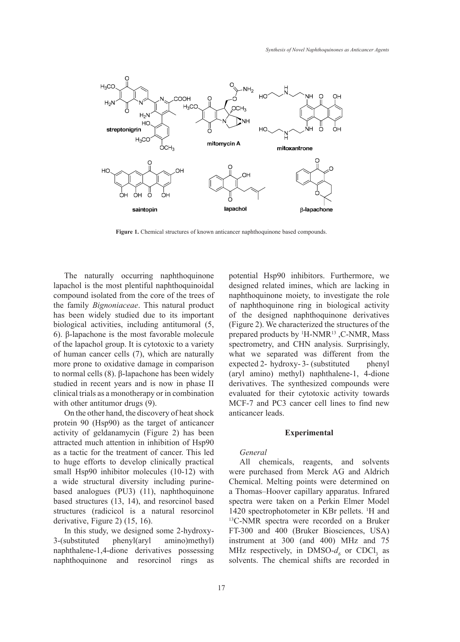

**Figure 1.** Chemical structures of known anticancer naphthoquinone based compounds.

The naturally occurring naphthoquinone lapachol is the most plentiful naphthoquinoidal compound isolated from the core of the trees of the family *Bignoniaceae*. This natural product of naphthod has been widely studied due to its important biological activities, including antitumoral (5, 6). β-lapachone is the most favorable molecule of the lapachol group. It is cytotoxic to a variety of human cancer cells (7), which are naturally more prone to oxidative damage in comparison to normal cells (8). β-lapachone has been widely studied in recent years and is now in phase II clinical trials as a monotherapy or in combination with other antitumor drugs (9).

On the other hand, the discovery of heat shock protein 90 (Hsp90) as the target of anticancer activity of geldanamycin (Figure 2) has been attracted much attention in inhibition of Hsp90 as a tactic for the treatment of cancer. This led to huge efforts to develop clinically practical small Hsp90 inhibitor molecules (10-12) with a wide structural diversity including purinebased analogues (PU3) (11), naphthoquinone based structures (13, 14), and resorcinol based structures (radicicol is a natural resorcinol derivative, Figure 2) (15, 16).

In this study, we designed some 2-hydroxy-3-(substituted phenyl(aryl amino)methyl) naphthalene-1,4-dione derivatives possessing naphthoquinone and resorcinol rings as

rally occurring naphthoquinone potential Hsp90 inhibitors. Furthermore, we designed related imines, which are lacking in blated from the core of the trees of naphthoquinone moiety, to investigate the role of naphthoquinone ring in biological activity lely studied due to its important of the designed naphthoquinone derivatives tivities, including antitumoral  $(5, \text{ (Figure 2)}.$  We characterized the structures of the here is the most favorable molecule prepared products by <sup>1</sup>H-NMR<sup>13</sup>,C-NMR, Mass spectrometry, and CHN analysis. Surprisingly, more cells (7), which are naturally what we separated was different from the expected 2- hydroxy- 3- (substituted phenyl (aryl amino) methyl) naphthalene-1, 4-dione derivatives. The synthesized compounds were evaluated for their cytotoxic activity towards MCF-7 and PC3 cancer cell lines to find new anticancer leads.

#### **Experimental**

#### *General*

All chemicals, reagents, and solvents were purchased from Merck AG and Aldrich Chemical. Melting points were determined on a Thomas–Hoover capillary apparatus. Infrared spectra were taken on a Perkin Elmer Model 1420 spectrophotometer in KBr pellets. <sup>1</sup>H and <sup>13</sup>C-NMR spectra were recorded on a Bruker FT-300 and 400 (Bruker Biosciences, USA) instrument at 300 (and 400) MHz and 75 MHz respectively, in DMSO- $d<sub>6</sub>$  or CDCl<sub>3</sub> as solvents. The chemical shifts are recorded in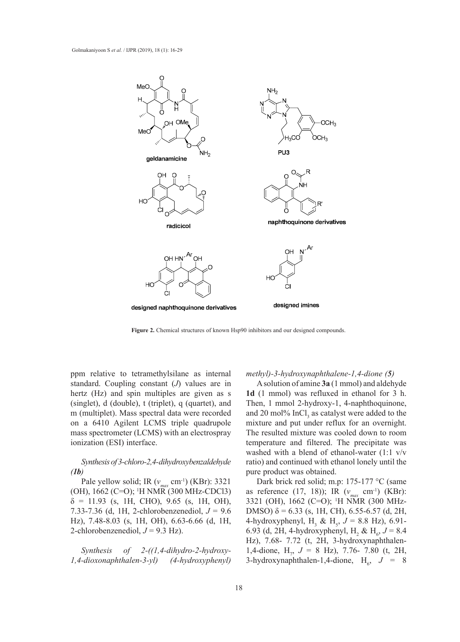

**Figure 2.** Chemical structures of known Hsp90 inhibitors and our designed compounds.

ppm relative to tetramethylsilane as internal *methyl*)-3-hydroxynaphthalene-1,4-dione (5) standard. Coupling constant (*J*) values are in hertz (Hz) and spin multiples are given as s  $1d$  (1 mmol) was re (singlet), d (double), t (triplet), q (quartet), and m (multiplet). Mass spectral data were recorded on a 6410 Agilent LCMS triple quadrupole mass spectrometer (LCMS) with an electrospray ionization (ESI) interface.

# *Synthesis of 3-chloro-2,4-dihydroxybenzaldehyde (1b)*

Pale yellow solid; IR  $(v_{max}$  cm<sup>-1</sup>) (KBr): 3321 (OH), 1662 (C=O); 1 H NMR (300 MHz-CDCl3)  $\delta = 11.93$  (s, 1H, CHO), 9.65 (s, 1H, OH), 7.33-7.36 (d, 1H, 2-chlorobenzenediol, *J* = 9.6 Hz), 7.48-8.03 (s, 1H, OH), 6.63-6.66 (d, 1H, 2-chlorobenzenediol,  $J = 9.3$  Hz).

*Synthesis of 2-((1,4-dihydro-2-hydroxy-1,4-dioxonaphthalen-3-yl) (4-hydroxyphenyl)* 

## *methyl)-3-hydroxynaphthalene-1,4-dione (5)*

A solution of amine **3a** (1 mmol) and aldehyde **1d** (1 mmol) was refluxed in ethanol for 3 h. nglet), d (double), t (triplet), q (quartet), and Then, 1 mmol 2-hydroxy-1, 4-naphthoquinone, and 20 mol%  $InCl<sub>3</sub>$  as catalyst were added to the a 6410 Agilent LCMS triple quadrupole mixture and put under reflux for an overnight. The resulted mixture was cooled down to room temperature and filtered. The precipitate was washed with a blend of ethanol-water (1:1 v/v ratio) and continued with ethanol lonely until the pure product was obtained.

> Dark brick red solid; m.p: 175-177 °C (same as reference (17, 18)); IR (*vmax* cm-1) (KBr): 3321 (OH), 1662 (C=O); 1 H NMR (300 MHz-DMSO)  $δ = 6.33$  (s, 1H, CH), 6.55-6.57 (d, 2H, 4-hydroxyphenyl, H<sub>3</sub> & H<sub>5</sub>,  $J = 8.8$  Hz), 6.91-6.93 (d, 2H, 4-hydroxyphenyl, H<sub>2</sub> & H<sub>6</sub>,  $J = 8.4$ Hz), 7.68- 7.72 (t, 2H, 3-hydroxynaphthalen-1,4-dione,  $H_7$ ,  $J = 8$  Hz), 7.76- 7.80 (t, 2H, 3-hydroxynaphthalen-1,4-dione,  $H_6$ ,  $J = 8$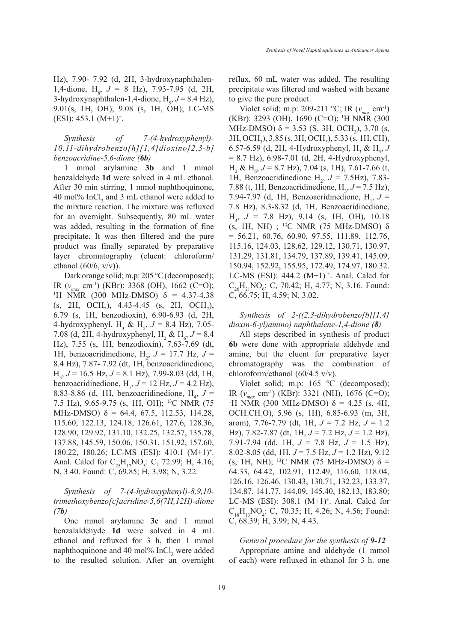Hz), 7.90- 7.92 (d, 2H, 3-hydroxynaphthalen-1,4-dione,  $H_8$ ,  $J = 8$  Hz), 7.93-7.95 (d, 2H, 3-hydroxynaphthalen-1,4-dione,  $H_s$ ,  $J = 8.4$  Hz), 9.01(s, 1H, OH), 9.08 (s, 1H, OH); LC-MS  $(ESI): 453.1 (M+1)^{+}.$ 

*Synthesis of 7-(4-hydroxyphenyl)- 10,11-dihydrobenzo[h][1,4]dioxino[2,3-b] benzoacridine-5,6-dione (6b)* 

1 mmol arylamine **3b** and 1 mmol benzaldehyde **1d** were solved in 4 mL ethanol. After 30 min stirring, 1 mmol naphthoquinone, 40 mol%  $InCl<sub>3</sub>$  and 3 mL ethanol were added to the mixture reaction. The mixture was refluxed for an overnight. Subsequently, 80 mL water was added, resulting in the formation of fine precipitate. It was then filtered and the pure product was finally separated by preparative layer chromatography (eluent: chloroform/ ethanol  $(60/6, v/v)$ ).

Dark orange solid; m.p: 205 °C (decomposed); IR (*vmax* cm-1) (KBr): 3368 (OH), 1662 (C=O); 1 <sup>1</sup>H NMR (300 MHz-DMSO)  $\delta$  = 4.37-4.38 (s, 2H, OCH<sub>2</sub>), 4.43-4.45 (s, 2H, OCH<sub>2</sub>), 6.79 (s, 1H, benzodioxin), 6.90-6.93 (d, 2H, 4-hydroxyphenyl,  $H_3 \& H_5$ ,  $J = 8.4$  Hz), 7.05-7.08 (d, 2H, 4-hydroxyphenyl, H<sub>2</sub> & H<sub>6</sub>,  $J = 8.4$ Hz), 7.55 (s, 1H, benzodioxin), 7.63-7.69 (dt, 1H, benzoacridinedione,  $H_2$ ,  $J = 17.7$  Hz,  $J =$ 8.4 Hz), 7.87- 7.92 (dt, 1H, benzoacridinedione, H3 , *J* = 16.5 Hz, *J* = 8.1 Hz), 7.99-8.03 (dd, 1H, benzoacridinedione,  $H_1$ ,  $J = 12$  Hz,  $J = 4.2$  Hz), 8.83-8.86 (d, 1H, benzoacridinedione,  $H_4$ ,  $J =$ 7.5 Hz), 9.65-9.75 (s, 1H, OH); 13C NMR (75 MHz-DMSO)  $\delta = 64.4, 67.5, 112.53, 114.28,$ 115.60, 122.13, 124.18, 126.61, 127.6, 128.36, 128.90, 129.92, 131.10, 132.25, 132.57, 135.78, 137.88, 145.59, 150.06, 150.31, 151.92, 157.60, 180.22, 180.26; LC-MS (ESI): 410.1 (M+1)+ . Anal. Calcd for  $C_{25}H_{17}NO_5$ : C, 72.99; H, 4.16; N, 3.40. Found: C, 69.85; H, 3.98; N, 3.22.

*Synthesis of 7-(4-hydroxyphenyl)-8,9,10 trimethoxybenzo[c]acridine-5,6(7H,12H)-dione (7b)* 

One mmol arylamine **3c** and 1 mmol benzalaldehyde **1d** were solved in 4 mL ethanol and refluxed for 3 h, then 1 mmol naphthoquinone and 40 mol%  $InCl<sub>3</sub>$  were added to the resulted solution. After an overnight

reflux, 60 mL water was added. The resulting precipitate was filtered and washed with hexane to give the pure product.

Violet solid; m.p: 209-211 °C; IR ( $v_{max}$  cm<sup>-1</sup>) (KBr): 3293 (OH), 1690 (C=O); 1 H NMR (300 MHz-DMSO)  $\delta = 3.53$  (S, 3H, OCH<sub>3</sub>), 3.70 (s, 3H, OCH<sub>3</sub>), 3.85 (s, 3H, OCH<sub>3</sub>), 5.33 (s, 1H, CH), 6.57-6.59 (d, 2H, 4-Hydroxyphenyl, H<sub>3</sub> & H<sub>5</sub>, *J* = 8.7 Hz), 6.98-7.01 (d, 2H, 4-Hydroxyphenyl,  $H_2 \& H_6$ ,  $J = 8.7$  Hz), 7.04 (s, 1H), 7.61-7.66 (t, 1H, Benzoacridinedione  $H_2$ ,  $J = 7.5 Hz$ , 7.83-7.88 (t, 1H, Benzoacridinedione,  $H_3$ ,  $J = 7.5$  Hz), 7.94-7.97 (d, 1H, Benzoacridinedione,  $H_1$ ,  $J =$ 7.8 Hz), 8.3-8.32 (d, 1H, Benzoacridinedione,  $H_4$ ,  $J = 7.8$  Hz), 9.14 (s, 1H, OH), 10.18 (s, 1H, NH) ; <sup>13</sup>C NMR (75 MHz-DMSO)  $\delta$  $= 56.21, 60.76, 60.90, 97.55, 111.89, 112.76,$ 115.16, 124.03, 128.62, 129.12, 130.71, 130.97, 131.29, 131.81, 134.79, 137.89, 139.41, 145.09, 150.94, 152.92, 155.95, 172.49, 174.97, 180.32. LC-MS (ESI):  $444.2$  (M+1)<sup>+</sup>. Anal. Calcd for  $C_{26}H_{21}NO_6$ : C, 70.42; H, 4.77; N, 3.16. Found: C, 66.75; H, 4.59; N, 3.02.

# *Synthesis of 2-((2,3-dihydrobenzo[b][1,4] dioxin-6-yl)amino) naphthalene-1,4-dione (8)*

All steps described in synthesis of product **6b** were done with appropriate aldehyde and amine, but the eluent for preparative layer chromatography was the combination of chloroform/ethanol (60/4.5 v/v).

Violet solid; m.p: 165 °C (decomposed); IR ( $v_{\text{max}}$  cm<sup>-1</sup>) (KBr): 3321 (NH), 1676 (C=O); <sup>1</sup>H NMR (300 MHz-DMSO) δ = 4.25 (s, 4H,  $OCH_2CH_2O$ ), 5.96 (s, 1H), 6.85-6.93 (m, 3H, arom), 7.76-7.79 (dt, 1H, *J* = 7.2 Hz, *J* = 1.2 Hz), 7.82-7.87 (dt, 1H, *J* = 7.2 Hz, *J* = 1.2 Hz), 7.91-7.94 (dd, 1H, *J* = 7.8 Hz, *J* = 1.5 Hz), 8.02-8.05 (dd, 1H, *J* = 7.5 Hz, *J* = 1.2 Hz), 9.12 (s, 1H, NH); <sup>13</sup>C NMR (75 MHz-DMSO)  $\delta$  = 64.33, 64.42, 102.91, 112.49, 116.60, 118.04, 126.16, 126.46, 130.43, 130.71, 132.23, 133.37, 134.87, 141.77, 144.09, 145.40, 182.13, 183.80; LC-MS (ESI):  $308.1 \, (M+1)^+$ . Anal. Calcd for  $C_{18}H_{13}NO_4$ : C, 70.35; H, 4.26; N, 4.56; Found: C, 68.39; H, 3.99; N, 4.43.

*General procedure for the synthesis of 9-12* Appropriate amine and aldehyde (1 mmol of each) were refluxed in ethanol for 3 h. one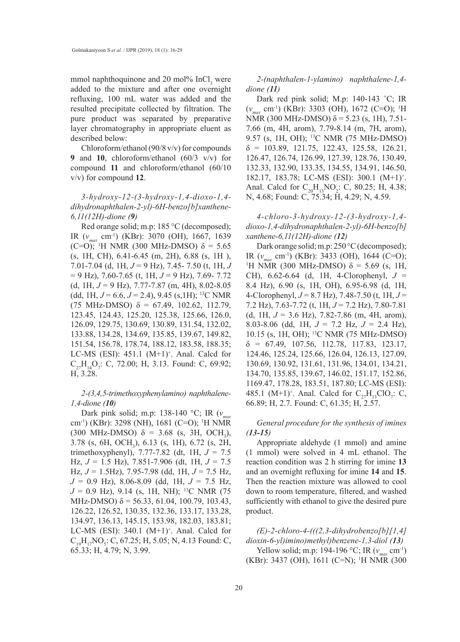mmol naphthoquinone and 20 mol%  $InCl<sub>3</sub>$  were added to the mixture and after one overnight refluxing, 100 mL water was added and the resulted precipitate collected by filtration. The pure product was separated by preparative layer chromatography in appropriate eluent as described below:

Chloroform/ethanol (90/8 v/v) for compounds **9** and **10**, chloroform/ethanol (60/3 v/v) for compound **11** and chloroform/ethanol (60/10 v/v) for compound **12**.

*3-hydroxy-12-(3-hydroxy-1,4-dioxo-1,4 dihydronaphthalen-2-yl)-6H-benzo[b]xanthene-6,11(12H)-dione (9)*

Red orange solid; m.p: 185 °C (decomposed); IR (*vmax* cm-1) (KBr): 3070 (OH), 1667, 1639 (C=O); 1 H NMR (300 MHz-DMSO) δ = 5.65 (s, 1H, CH), 6.41-6.45 (m, 2H), 6.88 (s, 1H ), 7.01-7.04 (d, 1H, *J* = 9 Hz), 7.45- 7.50 (t, 1H, *J*  = 9 Hz), 7.60-7.65 (t, 1H, *J* = 9 Hz), 7.69- 7.72 (d, 1H, *J* = 9 Hz), 7.77-7.87 (m, 4H), 8.02-8.05 (dd, 1H,  $J = 6.6$ ,  $J = 2.4$ ), 9.45 (s, 1H); <sup>13</sup>C NMR (75 MHz-DMSO) δ = 67.49, 102.62, 112.79, 123.45, 124.43, 125.20, 125.38, 125.66, 126.0, 126.09, 129.75, 130.69, 130.89, 131.54, 132.02, 133.88, 134.28, 134.69, 135.85, 139.67, 149.82, 151.54, 156.78, 178.74, 188.12, 183.58, 188.35; LC-MS (ESI):  $451.1$  (M+1)<sup>+</sup>. Anal. Calcd for  $C_{27}H_{14}O_7$ : C, 72.00; H, 3.13. Found: C, 69.92; H, 3.28.

# *2-(3,4,5-trimethoxyphenylamino) naphthalene-1,4-dione (10)*

Dark pink solid; m.p: 138-140 °C; IR (*vmax* cm-1) (KBr): 3298 (NH), 1681 (C=O); 1 H NMR (300 MHz-DMSO)  $\delta = 3.68$  (s, 3H, OCH<sub>3</sub>), 3.78 (s, 6H, OCH<sub>3</sub>), 6.13 (s, 1H), 6.72 (s, 2H, trimethoxyphenyl), 7.77-7.82 (dt, 1H, *J* = 7.5 Hz, *J* = 1.5 Hz), 7.851-7.906 (dt, 1H, *J* = 7.5 Hz, *J* = 1.5Hz), 7.95-7.98 (dd, 1H, *J* = 7.5 Hz, *J* = 0.9 Hz), 8.06-8.09 (dd, 1H, *J* = 7.5 Hz,  $J = 0.9$  Hz), 9.14 (s, 1H, NH); <sup>13</sup>C NMR (75 MHz-DMSO)  $\delta$  = 56.33, 61.04, 100.79, 103.43, 126.22, 126.52, 130.35, 132.36, 133.17, 133.28, 134.97, 136.13, 145.15, 153.98, 182.03, 183.81; LC-MS (ESI):  $340.1$  (M+1)<sup>+</sup>. Anal. Calcd for  $C_{19}H_{17}NO_5$ : C, 67.25; H, 5.05; N, 4.13 Found: C, 65.33; H, 4.79; N, 3.99.

*2-(naphthalen-1-ylamino) naphthalene-1,4 dione (11)*

Dark red pink solid; M.p: 140-143 ˚C; IR (*vmax* cm-1) (KBr): 3303 (OH), 1672 (C=O); 1 H NMR (300 MHz-DMSO)  $δ = 5.23$  (s, 1H), 7.51-7.66 (m, 4H, arom), 7.79-8.14 (m, 7H, arom), 9.57 (s, 1H, OH); 13C NMR (75 MHz-DMSO)  $\delta = 103.89, 121.75, 122.43, 125.58, 126.21,$ 126.47, 126.74, 126.99, 127.39, 128.76, 130.49, 132.33, 132.90, 133.35, 134.55, 134.91, 146.50, 182.17, 183.78; LC-MS (ESI): 300.1 (M+1)+ . Anal. Calcd for  $C_{20}H_{13}NO_2$ : C, 80.25; H, 4.38; N, 4.68; Found: C, 75.34; H, 4.29; N, 4.59.

*4-chloro-3-hydroxy-12-(3-hydroxy-1,4 dioxo-1,4-dihydronaphthalen-2-yl)-6H-benzo[b] xanthene-6,11(12H)-dione (12)* 

Dark orange solid; m.p: 250 °C (decomposed); IR ( $v_{\text{max}}$  cm<sup>-1</sup>) (KBr): 3433 (OH), 1644 (C=O); <sup>1</sup>H NMR (300 MHz-DMSO) δ = 5.69 (s, 1H, CH), 6.62-6.64 (d, 1H, 4-Clorophenyl, *J* = 8.4 Hz), 6.90 (s, 1H, OH), 6.95-6.98 (d, 1H, 4-Clorophenyl, *J* = 8.7 Hz), 7.48-7.50 (t, 1H, *J* = 7.2 Hz), 7.63-7.72 (t, 1H, *J* = 7.2 Hz), 7.80-7.81 (d, 1H, *J* = 3.6 Hz), 7.82-7.86 (m, 4H, arom), 8.03-8.06 (dd, 1H, *J* = 7.2 Hz, *J* = 2.4 Hz), 10.15 (s, 1H, OH); 13C NMR (75 MHz-DMSO)  $\delta = 67.49, 107.56, 112.78, 117.83, 123.17,$ 124.46, 125.24, 125.66, 126.04, 126.13, 127.09, 130.69, 130.92, 131.61, 131.96, 134.01, 134.21, 134.70, 135.85, 139.67, 146.02, 151.17, 152.86, 1169.47, 178.28, 183.51, 187.80; LC-MS (ESI): 485.1 (M+1)<sup>+</sup>. Anal. Calcd for  $C_{27}H_{13}ClO_7$ : C, 66.89; H, 2.7. Found: C, 61.35; H, 2.57.

*General procedure for the synthesis of imines (13-15)*

Appropriate aldehyde (1 mmol) and amine (1 mmol) were solved in 4 mL ethanol. The reaction condition was 2 h stirring for imine **13** and an overnight refluxing for imine **14** and **15**. Then the reaction mixture was allowed to cool down to room temperature, filtered, and washed sufficiently with ethanol to give the desired pure product.

*(E)-2-chloro-4-(((2,3-dihydrobenzo[b][1,4] dioxin-6-yl)imino)methyl)benzene-1,3-diol (13)* Yellow solid; m.p: 194-196 °C; IR (*v<sub>m</sub>* cm<sup>-1</sup>) (KBr): 3437 (OH), 1611 (C=N); <sup>1</sup>H NMR (300)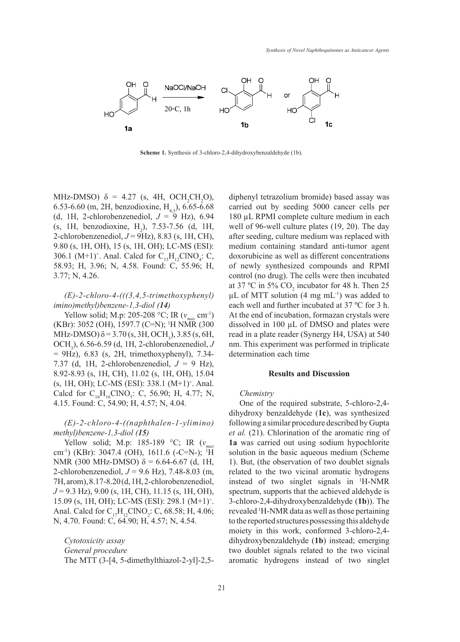

**Scheme 1.** Synthesis of 3-chloro-2,4-dihydroxybenzaldehyde (1b).

MHz-DMSO)  $\delta = 4.27$  (s, 4H, OCH<sub>2</sub>CH<sub>2</sub>O), 6.53-6.60 (m, 2H, benzodioxine,  $H_{4,5}$ ), 6.65-6.68 (d, 1H, 2-chlorobenzenediol,  $J = 9$  Hz), 6.94 (s, 1H, benzodioxine,  $H_2$ ), 7.53-7.56 (d, 1H, 2-chlorobenzenediol, *J* = 9Hz), 8.83 (s, 1H, CH), 9.80 (s, 1H, OH), 15 (s, 1H, OH); LC-MS (ESI): 306.1 (M+1)<sup>+</sup>. Anal. Calcd for  $C_{15}H_{12}CINO_4$ : C, 58.93; H, 3.96; N, 4.58. Found: C, 55.96; H, 3.77; N, 4.26.

# *(E)-2-chloro-4-(((3,4,5-trimethoxyphenyl) imino)methyl)benzene-1,3-diol (14)*

Yellow solid; M.p: 205-208 °C; IR ( $v_{max}$  cm<sup>-1</sup>) (KBr): 3052 (OH), 1597.7 (C=N); 1 H NMR (300 MHz-DMSO)  $\delta$  = 3.70 (s, 3H, OCH<sub>3</sub>), 3.85 (s, 6H, OCH<sub>3</sub>), 6.56-6.59 (d, 1H, 2-chlorobenzenediol,  $J$  $= 9$ Hz), 6.83 (s, 2H, trimethoxyphenyl), 7.34- determination each time 7.37 (d, 1H, 2-chlorobenzenediol,  $J = 9$  Hz), 8.92-8.93 (s, 1H, CH), 11.02 (s, 1H, OH), 15.04 (s, 1H, OH); LC-MS (ESI): 338.1 (M+1)<sup>+</sup>. Anal. Calcd for  $C_{16}H_{16}CINO_5$ : C, 56.90; H, 4.77; N, 4.15. Found: C, 54.90; H, 4.57; N, 4.04.  $\frac{1}{2}$  one of the required substrate, 5-chloro-2,4-<br>5. Found: C, 54.90; H, 4.57; N, 4.04. One of the required substrate, 5-chloro-2,4-

## *(E)-2-chloro-4-((naphthalen-1-ylimino) methyl)benzene-1,3-diol (15)*

Yellow solid; M.p: 185-189 °C; IR (*vmax* cm<sup>-1</sup>) (KBr): 3047.4 (OH), 1611.6 (-C=N-); <sup>1</sup>H NMR (300 MHz-DMSO)  $δ = 6.64-6.67$  (d, 1H, 2-chlorobenzenediol, *J* = 9.6 Hz), 7.48-8.03 (m, 7H, arom), 8.17-8.20 (d, 1H, 2-chlorobenzenediol, *J* = 9.3 Hz), 9.00 (s, 1H, CH), 11.15 (s, 1H, OH), 15.09 (s, 1H, OH); LC-MS (ESI): 298.1 (M+1)+ . Anal. Calcd for  $C_{17}H_{12}CINO_2$ : C, 68.58; H, 4.06; N, 4.70. Found: C, 64.90; H, 4.57; N, 4.54.

*Cytotoxicity assay General procedure* The MTT (3-[4, 5-dimethylthiazol-2-yl]-2,5diphenyl tetrazolium bromide) based assay was carried out by seeding 5000 cancer cells per 180 µL RPMI complete culture medium in each well of 96-well culture plates (19, 20). The day after seeding, culture medium was replaced with medium containing standard anti-tumor agent doxorubicine as well as different concentrations of newly synthesized compounds and RPMI control (no drug). The cells were then incubated at 37 °C in 5%  $CO_2$  incubator for 48 h. Then 25  $\mu$ L of MTT solution (4 mg mL<sup>-1</sup>) was added to each well and further incubated at 37 ºC for 3 h. At the end of incubation, formazan crystals were dissolved in 100 µL of DMSO and plates were read in a plate reader (Synergy H4, USA) at 540 nm. This experiment was performed in triplicate determination each time

## **Results and Discussion**

## *Chemistry*

dihydroxy benzaldehyde (1c), was synthesized following a similar procedure described by Gupta *et al.* (21). Chlorination of the aromatic ring of **1a** was carried out using sodium hypochlorite solution in the basic aqueous medium (Scheme 1). But, (the observation of two doublet signals related to the two vicinal aromatic hydrogens instead of two singlet signals in 1 H-NMR spectrum, supports that the achieved aldehyde is 3-chloro-2,4-dihydroxybenzaldehyde (**1b**)). The revealed 1 H-NMR data as well as those pertaining to the reported structures possessing this aldehyde moiety in this work, conformed 3-chloro-2,4 dihydroxybenzaldehyde (**1b**) instead; emerging two doublet signals related to the two vicinal aromatic hydrogens instead of two singlet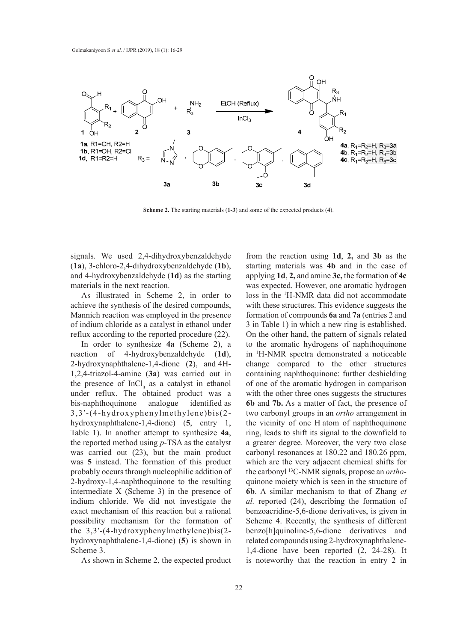

**Scheme 2.** The starting materials (**1-3**) and some of the expected products (**4**). **Scheme 2.** The starting materials (**1-3**) and some of the expected products (**4**).

signals. We used 2,4-dihydroxybenzaldehyde from the reaction using 1d, 2, an (**1a**), 3-chloro-2,4-dihydroxybenzaldehyde (**1b**), and 4-hydroxybenzaldehyde (**1d**) as the starting materials in the next reaction.

As illustrated in Scheme 2, in order to achieve the synthesis of the desired compounds, Mannich reaction was employed in the presence of indium chloride as a catalyst in ethanol under reflux according to the reported procedure (22).

In order to synthesize **4a** (Scheme 2), a reaction of 4-hydroxybenzaldehyde (**1d**), 2-hydroxynaphthalene-1,4-dione (**2**), and 4H-1,2,4-triazol-4-amine (**3a**) was carried out in the presence of  $InCl<sub>3</sub>$  as a catalyst in ethanol under reflux. The obtained product was a bis-naphthoquinone analogue identified as 3,3′-(4-hydroxyphenylmethylene)bis(2 hydroxynaphthalene-1,4-dione) (**5**, entry 1, Table 1). In another attempt to synthesize **4a**, the reported method using *p*-TSA as the catalyst was carried out (23), but the main product was **5** instead. The formation of this product probably occurs through nucleophilic addition of 2-hydroxy-1,4-naphthoquinone to the resulting intermediate X (Scheme 3) in the presence of indium chloride. We did not investigate the exact mechanism of this reaction but a rational possibility mechanism for the formation of the 3,3′-(4-hydroxyphenylmethylene)bis(2 hydroxynaphthalene-1,4-dione) (**5**) is shown in Scheme 3.

As shown in Scheme 2, the expected product

from the reaction using **1d**, **2,** and **3b** as the starting materials was **4b** and in the case of applying **1d**, **2,** and amine **3c,** the formation of **4c** was expected. However, one aromatic hydrogen loss in the 1 H-NMR data did not accommodate with these structures. This evidence suggests the formation of compounds **6a** and **7a** (entries 2 and 3 in Table 1) in which a new ring is established. On the other hand, the pattern of signals related to the aromatic hydrogens of naphthoquinone in 1 H-NMR spectra demonstrated a noticeable change compared to the other structures containing naphthoquinone: further deshielding of one of the aromatic hydrogen in comparison with the other three ones suggests the structures **6b** and **7b.** As a matter of fact, the presence of two carbonyl groups in an *ortho* arrangement in the vicinity of one H atom of naphthoquinone ring, leads to shift its signal to the downfield to a greater degree. Moreover, the very two close carbonyl resonances at 180.22 and 180.26 ppm, which are the very adjacent chemical shifts for the carbonyl 13C-NMR signals, propose an *ortho*quinone moiety which is seen in the structure of **6b**. A similar mechanism to that of Zhang *et al.* reported (24), describing the formation of benzoacridine-5,6-dione derivatives, is given in Scheme 4. Recently, the synthesis of different benzo[h]quinoline-5,6-dione derivatives and related compounds using 2-hydroxynaphthalene-1,4-dione have been reported (2, 24-28). It is noteworthy that the reaction in entry 2 in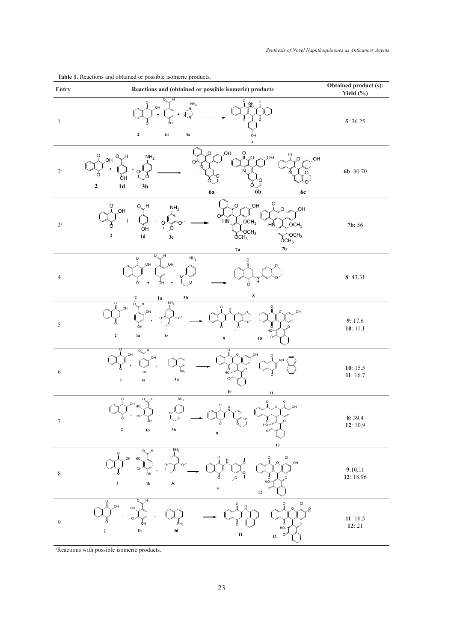| Entry            | Reactions and (obtained or possible isomeric) products                                                                                                                                                                                                                                                                                                                  | Obtained product (s):<br>Yield (%) |
|------------------|-------------------------------------------------------------------------------------------------------------------------------------------------------------------------------------------------------------------------------------------------------------------------------------------------------------------------------------------------------------------------|------------------------------------|
| $\mathbf{1}$     | ö<br>$\rm _{\rm O}$<br>$\overline{O}$<br>앪<br>$\text{NH}_2$<br>OH<br>$\mathbf 2$<br>$1\mathrm{d}$<br>3a<br>ÓН<br>5                                                                                                                                                                                                                                                      | 5:36.25                            |
| $2^{\rm a}$      | O<br><b>JOH</b><br>O<br>$\overline{O}$<br>Ō<br>JH.<br>NH <sub>2</sub><br><b>HO</b><br>O.<br>O.<br>$\overline{O}$<br><b>JOH</b><br>OH<br>O<br>N<br>$\ddotmark$<br>O<br>O<br>O<br>ÓН<br>$\mathbf 2$<br>$1\mathbf{d}$<br>3 <sub>b</sub><br>6b<br>6a<br><b>6c</b>                                                                                                           | 6b: 30.70                          |
| $3^{\rm a}$      | Ö<br><b>JOH</b><br>O<br>O<br>O H<br>NH <sub>2</sub><br>$\overline{O}$<br><b>JOH</b><br><b>JOH</b><br>O<br>HN<br>$\ddagger$<br>$OCH_3$<br>$\boldsymbol{+}$<br>∩<br>HN <sub>1</sub><br>OCH <sub>3</sub><br>φн<br>O,<br>$\sum_{\mathsf{OCH}_3}^{\mathsf{OCH}_3}$<br>OCH <sub>3</sub><br>$\boldsymbol{2}$<br>$1\mathrm{d}$<br>3c<br>OCH <sub>3</sub><br>$7\mathrm{b}$<br>7a | 7b: 56                             |
| $\overline{4}$   | H<br>$O_{\scriptscriptstyle\sim}$<br>$\text{NH}_2$<br>O<br>0<br>O <sub>H</sub><br>,OH<br>Ĥ<br>φн<br>$\ddot{\phantom{1}}$<br>Ö<br>$\bf 8$<br>$\boldsymbol{2}$<br>3 <sub>b</sub><br>1a                                                                                                                                                                                    | 8:43.31                            |
| 5                | NH <sub>2</sub><br>О<br>O<br>OH<br>HO.<br>OH<br>ÓН<br>HO-<br>$\mathbf 2$<br>1a<br>3c<br>$\boldsymbol{9}$<br>${\bf 10}$                                                                                                                                                                                                                                                  | 9:17.6<br>10: 11.1                 |
| 6                | $\overline{\circ}$<br>,OH<br>HO,<br>OH<br>$\ddot{}$<br>Ь<br>юн<br>NH <sub>2</sub><br>ÓН<br>$\Omega$<br>3d<br>$\mathbf 2$<br>1a<br>${\bf 10}$<br>11                                                                                                                                                                                                                      | 10:15.5<br>11:16.7                 |
| Τ                | $NH2$<br>$\circ$<br>O<br>$\circ$<br>CI<br>$OH$ HO.<br>,OH<br>UH<br>P<br>HO-<br>$\mathbf 2$<br>$1\mathrm{b}$<br>$3\mathrm{b}$<br>$\bf8$<br>$12$                                                                                                                                                                                                                          | 8:39.4<br>12:10.9                  |
| $\,$ $\,$        | NH <sub>2</sub><br>0.<br>O<br>OH HO<br>СI<br>O<br>OH<br>Ь<br>-он<br>$1\mathrm{b}$<br>$3\mathrm{c}$<br>$\mathbf 2$<br>9<br>$\Omega$<br>$\bf 12$                                                                                                                                                                                                                          | 9:10.11<br>12: 18.96               |
| $\boldsymbol{9}$ | O<br>О,<br>$\circ$<br>$\circ$<br>Çl<br><b>HO</b><br>HO<br>$\Omega$<br>CI<br>ŃН <sub>2</sub><br>Ő<br>HO-<br>$1\mathrm{b}$<br>$3\mathbf{d}$<br>$\mathbf 2$<br>$11\,$<br>C<br>$12\,$                                                                                                                                                                                       | 11:16.5<br>12:21                   |

**Table 1.** Reactions and obtained or possible isomeric products.

a Reactions with possible isomeric products.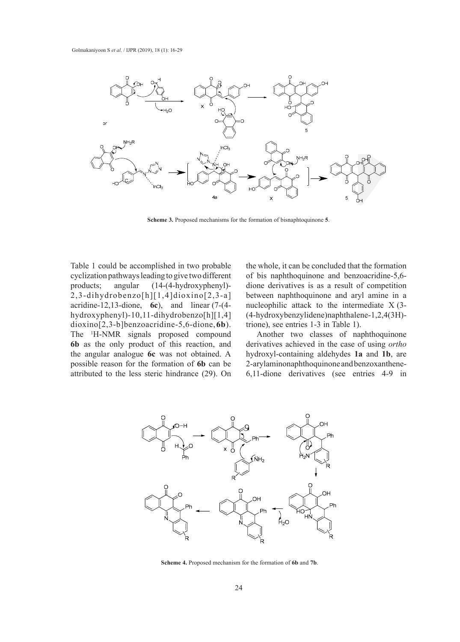

**Scheme 3.** Proposed mechanisms for the formation of bisnaphtoquinone **5**. **Scheme 3.** Proposed mechanisms for the formation of bisnaphtoquinone **5**.

Table 1 could be accomplished in two probable cyclization pathways leading to give two different of bis naphthoquinone and ben products; angular (14-(4-hydroxyphenyl)- 2,3-dihydrobenzo[h][1,4]dioxino[2,3-a]  $\frac{2}{3}$ , and  $\frac{4}{3}$  aromatic hydrogens of n<sub>1</sub><sup>1</sup>,  $\frac{1}{3}$  aromatic functione in 17-(4hydroxyphenyl)-10,11-dihydrobenzo[h][1,4] (4-hydroxybenzylidene)naphthal dioxino[2,3-b]benzoacridine-5,6-dione, 6b). trione), see entries 1-3 in Table 1 The <sup>1</sup>H-NMR signals proposed compound Another two classes of napht **6b** as the only product of this reaction, and derivatives achieved in the case the angular analogue **6c** was not obtained. A possible reason for the formation of **6b** can be 2-ary laminonaphthoquinone and 180.22 and 180.22 and 180.22 and 180.22 and 180.22 and 180.22 and 180.26 ppm, which are the very two carbon are the very the very the very the attributed to the less steric hindrance (29). On 6,11-dione derivatives (see e

the whole, it can be concluded that the formation of bis naphthoquinone and benzoacridine-5,6 cts; angular  $(14-(4-hydroxyphenyl)$ - dione derivatives is as a result of competition  $(14-(4-hydroxyphenyl)$ between naphthoquinone and aryl amine in a  $\frac{1}{2}$ , 13-dione, **6c**), and linear (7-(4-<br>hucleophilic attack to the intermediate X (3nenyl)-10,11-dihydrobenzo[h][1,4] (4-hydroxybenzylidene)naphthalene-1,2,4(3H)trione), see entries  $1-3$  in Table 1).

Another two classes of naphthoquinone only product of this reaction, and derivatives achieved in the case of using *ortho* r analogue **6c** was not obtained. A hydroxyl-containing aldehydes **1a** and **1b**, are 2-arylaminonaphthoquinone and benzoxantheneto the less steric hindrance (29). On  $\overline{6,11}$ -dione derivatives (see entries 4-9 in



**Scheme 4.** Proposed mechanism for the formation of **6b** and **7b**.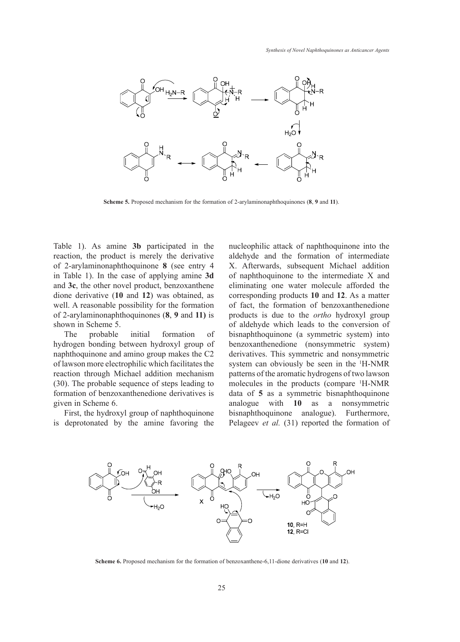

**Scheme 5.** Proposed mechanism for the formation of 2-arylaminonaphthoquinones  $(8, 9 \text{ and } 11)$ .

Table 1). As amine **3b** participated in the nucleophilic attack of naphthoquinon reaction, the product is merely the derivative aldel of 2-arylaminonaphthoquinone **8** (see entry 4 in Table 1). In the case of applying amine **3d** and **3c**, the other novel product, benzoxanthene dione derivative (**10** and **12**) was obtained, as well. A reasonable possibility for the formation of 2-arylaminonaphthoquinones (**8**, **9** and **11)** is shown in Scheme 5.

The probable initial formation of hydrogen bonding between hydroxyl group of naphthoquinone and amino group makes the C2 derivatives. This symmetric and no of lawson more electrophilic which facilitates the reaction through Michael addition mechanism (30). The probable sequence of steps leading to formation of benzoxanthenedione derivatives is data of 5 as a symmetric b given in Scheme 6.

First, the hydroxyl group of naphthoquinone First, the hydroxyl group of haphthoquinone<br>is deprotonated by the amine favoring the Pelageev *et al.* (31) reported the fo  $\overline{C}$  of lawson more electrophic which facilitates the reaction facilitates the reaction facilitates the reaction facilitates the reaction facilitates the reaction facilitates the reaction facilitates the reaction faci

nucleophilic attack of naphthoquinone into the aldehyde and the formation of intermediate X. Afterwards, subsequent Michael addition of naphthoquinone to the intermediate X and eliminating one water molecule afforded the corresponding products **10** and **12**. As a matter of fact, the formation of benzoxanthenedione products is due to the *ortho* hydroxyl group of aldehyde which leads to the conversion of bisnaphthoquinone (a symmetric system) into benzoxanthenedione (nonsymmetric system) derivatives. This symmetric and nonsymmetric system can obviously be seen in the 1 H-NMR rough Michael addition mechanism patterns of the aromatic hydrogens of two lawson probable sequence of steps leading to molecules in the products (compare <sup>1</sup>H-NMR of benzoxanthenedione derivatives is data of 5 as a symmetric bisnaphthoquinone analogue with **10** as a nonsymmetric eliminative one was a molecule one was a molecule afforement of the corresponding products **10** and **10** and **12** and **10** and **10** and **10** and **10** and **10** and **10** and **10** and **10** and **10** and **10** and **11** and **11** nated by the amine favoring the Pelageev *et al.* (31) reported the formation of



**Scheme 6.** Proposed mechanism for the formation of benzoxanthene-6,11-dione derivatives (10 and 12).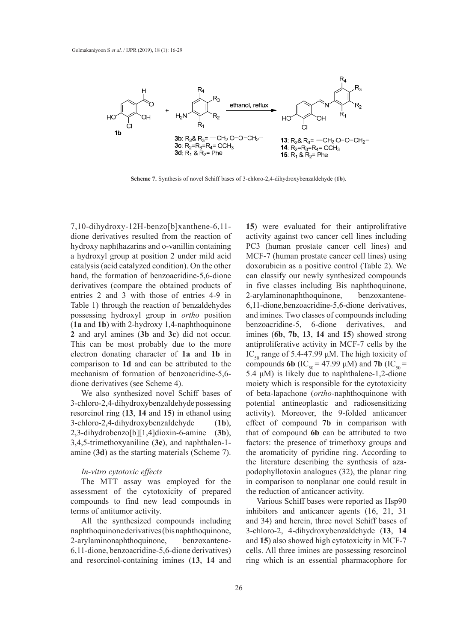

**Scheme 7.** Synthesis of novel Schiff bases of 3-chloro-2,4-dihydroxybenzaldehyde (**1b**). **Scheme 7.** Synthesis of novel Schiff bases of 3-chloro-2,4-dihydroxybenzaldehyde (**1b**).

 $7,10$ -dihydroxy-12H-benzo[b]xanthene-6,11- 15) dione derivatives resulted from the reaction of hydroxy naphthazarins and o-vanillin containing a hydroxyl group at position 2 under mild acid catalysis (acid catalyzed condition). On the other hand, the formation of benzoacridine-5,6-dione derivatives (compare the obtained products of entries 2 and 3 with those of entries 4-9 in Table 1) through the reaction of benzaldehydes possessing hydroxyl group in *ortho* position (**1a** and **1b**) with 2-hydroxy 1,4-naphthoquinone **2** and aryl amines (**3b** and **3c**) did not occur. This can be most probably due to the more electron donating character of **1a** and **1b** in comparison to **1d** and can be attributed to the mechanism of formation of benzoacridine-5,6 dione derivatives (see Scheme 4).

We also synthesized novel Schiff bases of 3-chloro-2,4-dihydroxybenzaldehyde possessing resorcinol ring (**13**, **14** and **15**) in ethanol using 3-chloro-2,4-dihydroxybenzaldehyde (**1b**), 2,3-dihydrobenzo[b][1,4]dioxin-6-amine (**3b**), 3,4,5-trimethoxyaniline (**3c**), and naphthalen-1 amine (**3d**) as the starting materials (Scheme 7).

## *In-vitro cytotoxic effects*

The MTT assay was employed for the assessment of the cytotoxicity of prepared compounds to find new lead compounds in terms of antitumor activity.

All the synthesized compounds including naphthoquinone derivatives (bis naphthoquinone, 2-arylaminonaphthoquinone, benzoxantene-6,11-dione, benzoacridine-5,6-dione derivatives) and resorcinol-containing imines (**13**, **14** and

**15**) were evaluated for their antiprolifrative activity against two cancer cell lines including PC3 (human prostate cancer cell lines) and MCF-7 (human prostate cancer cell lines) using doxorubicin as a positive control (Table 2). We can classify our newly synthesized compounds in five classes including Bis naphthoquinone, 2-arylaminonaphthoquinone, benzoxantene-6,11-dione,benzoacridine-5,6-dione derivatives, and imines. Two classes of compounds including benzoacridine-5, 6-dione derivatives, and imines (**6b**, **7b**, **13**, **14** and **15**) showed strong antiproliferative activity in MCF-7 cells by the IC<sub>50</sub> range of 5.4-47.99 μM. The high toxicity of compounds **6b** (IC<sub>50</sub> = 47.99 μM) and **7b** (IC<sub>50</sub> = 5.4  $\mu$ M) is likely due to naphthalene-1,2-dione moiety which is responsible for the cytotoxicity of beta-lapachone (*ortho*-naphthoquinone with potential antineoplastic and radiosensitizing activity). Moreover, the 9-folded anticancer effect of compound **7b** in comparison with that of compound **6b** can be attributed to two factors: the presence of trimethoxy groups and the aromaticity of pyridine ring. According to the literature describing the synthesis of azapodophyllotoxin analogues (32), the planar ring in comparison to nonplanar one could result in the reduction of anticancer activity.

Various Schiff bases were reported as Hsp90 inhibitors and anticancer agents (16, 21, 31 and 34) and herein, three novel Schiff bases of 3-chloro-2, 4-dihydroxybenzaldehyde (**13**, **14** and **15**) also showed high cytotoxicity in MCF-7 cells. All three imines are possessing resorcinol ring which is an essential pharmacophore for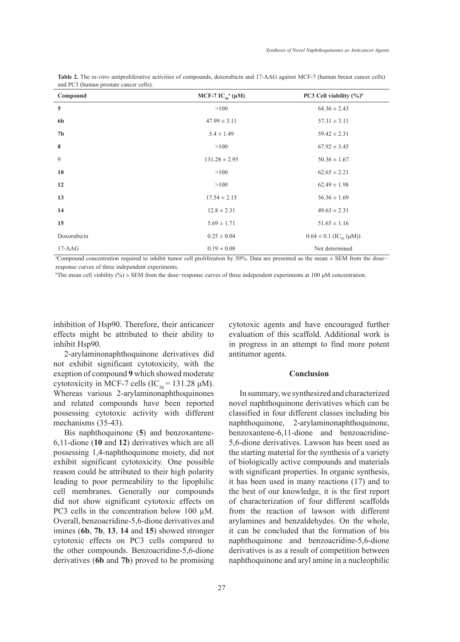| Compound       | MCF-7 IC <sub>50</sub> <sup>a</sup> ( $\mu$ M) | PC3 Cell viability $(%)^b$             |
|----------------|------------------------------------------------|----------------------------------------|
| 5              | >100                                           | $64.36 \pm 2.43$                       |
| 6 <sub>b</sub> | $47.99 \pm 3.11$                               | $57.31 \pm 3.11$                       |
| 7 <sub>b</sub> | $5.4 \pm 1.49$                                 | $59.42 \pm 2.31$                       |
| 8              | >100                                           | $67.92 \pm 3.45$                       |
| 9              | $131.28 \pm 2.95$                              | $50.36 \pm 1.67$                       |
| 10             | >100                                           | $62.65 \pm 2.21$                       |
| 12             | >100                                           | $62.49 \pm 1.98$                       |
| 13             | $17.54 \pm 2.15$                               | $56.36 \pm 1.69$                       |
| 14             | $12.8 \pm 2.31$                                | $49.63 \pm 2.31$                       |
| 15             | $5.69 \pm 1.71$                                | $51.65 \pm 1.16$                       |
| Doxorubicin    | $0.25 \pm 0.04$                                | $0.64 \pm 0.1$ (IC <sub>50</sub> (µM)) |
| $17-AAG$       | $0.19 \pm 0.08$                                | Not determined                         |

**Table 2.** The *in-vitro* antiproliferative activities of compounds, doxorubicin and 17-AAG against MCF-7 (human breast cancer cells) and PC3 (human prostate cancer cells).

a Compound concentration required to inhibit tumor cell proliferation by 50%. Data are presented as the mean ± SEM from the dose− response curves of three independent experiments.

b The mean cell viability (%) ± SEM from the dose−response curves of three independent experiments at 100 μM concentration.

inhibition of Hsp90. Therefore, their anticancer effects might be attributed to their ability to inhibit Hsp90.

2-arylaminonaphthoquinone derivatives did not exhibit significant cytotoxicity, with the exeption of compound **9** which showed moderate cytotoxicity in MCF-7 cells (IC<sub>50</sub> = 131.28  $\mu$ M). Whereas various 2-arylaminonaphthoquinones and related compounds have been reported possessing cytotoxic activity with different mechanisms (35-43).

Bis naphthoquinone (**5**) and benzoxantene-6,11-dione (**10** and **12**) derivatives which are all possessing 1,4-naphthoquinone moiety, did not exhibit significant cytotoxicity. One possible reason could be attributed to their high polarity leading to poor permeability to the lipophilic cell membranes. Generally our compounds did not show significant cytotoxic effects on PC3 cells in the concentration below 100  $\mu$ M. Overall, benzoacridine-5,6-dione derivatives and imines (**6b**, **7b**, **13**, **14** and **15**) showed stronger cytotoxic effects on PC3 cells compared to the other compounds. Benzoacridine-5,6-dione derivatives (**6b** and **7b**) proved to be promising

27

cytotoxic agents and have encouraged further evaluation of this scaffold. Additional work is in progress in an attempt to find more potent antitumor agents.

#### **Conclusion**

In summary, we synthesized and characterized novel naphthoquinone derivatives which can be classified in four different classes including bis naphthoquinone, 2-arylaminonaphthoquinone, benzoxantene-6,11-dione and benzoacridine-5,6-dione derivatives. Lawson has been used as the starting material for the synthesis of a variety of biologically active compounds and materials with significant properties. In organic synthesis, it has been used in many reactions (17) and to the best of our knowledge, it is the first report of characterization of four different scaffolds from the reaction of lawson with different arylamines and benzaldehydes. On the whole, it can be concluded that the formation of bis naphthoquinone and benzoacridine-5,6-dione derivatives is as a result of competition between naphthoquinone and aryl amine in a nucleophilic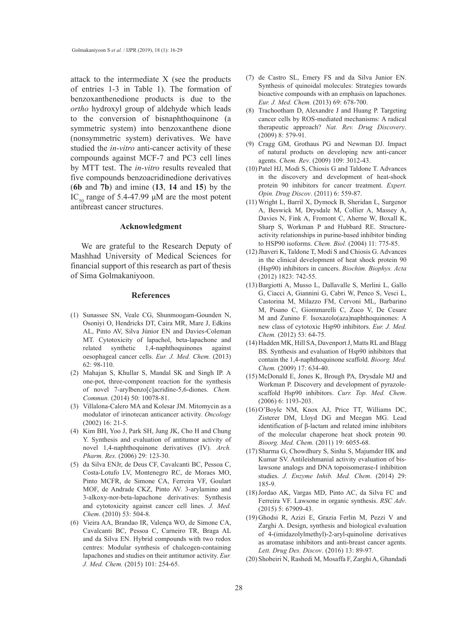attack to the intermediate X (see the products of entries 1-3 in Table 1). The formation of benzoxanthenedione products is due to the *ortho* hydroxyl group of aldehyde which leads to the conversion of bisnaphthoquinone (a symmetric system) into benzoxanthene dione (nonsymmetric system) derivatives. We have studied the *in-vitro* anti-cancer activity of these compounds against MCF-7 and PC3 cell lines by MTT test. The *in-vitro* results revealed that five compounds benzoacridinedione derivatives (**6b** and **7b**) and imine (**13**, **14** and **15**) by the IC<sub>50</sub> range of 5.4-47.99  $\mu$ M are the most potent antibreast cancer structures.

#### **Acknowledgment**

We are grateful to the Research Deputy of Mashhad University of Medical Sciences for financial support of this research as part of thesis of Sima Golmakaniyoon.

#### **References**

- (1) Sunassee SN, Veale CG, Shunmoogam-Gounden N, Osoniyi O, Hendricks DT, Caira MR, Mare J, Edkins AL, Pinto AV, Silva Júnior EN and Davies-Coleman MT. Cytotoxicity of lapachol, beta-lapachone and related synthetic 1,4-naphthoquinones against oesophageal cancer cells. *Eur. J. Med. Chem.* (2013) 62: 98-110.
- (2) Mahajan S, Khullar S, Mandal SK and Singh IP. A one-pot, three-component reaction for the synthesis of novel 7-arylbenzo[c]acridine-5,6-diones. *Chem. Commun.* (2014) 50: 10078-81.
- (3) Villalona-Calero MA and Kolesar JM. Mitomycin as a modulator of irinotecan anticancer activity. *Oncology* (2002) 16: 21-5.
- (4) Kim BH, Yoo J, Park SH, Jung JK, Cho H and Chung Y. Synthesis and evaluation of antitumor activity of novel 1,4-naphthoquinone derivatives (IV). *Arch. Pharm. Res*. (2006) 29: 123-30.
- (5) da Silva ENJr, de Deus CF, Cavalcanti BC, Pessoa C, Costa-Lotufo LV, Montenegro RC, de Moraes MO, Pinto MCFR, de Simone CA, Ferreira VF, Goulart MOF, de Andrade CKZ, Pinto AV. 3-arylamino and 3-alkoxy-nor-beta-lapachone derivatives: Synthesis and cytotoxicity against cancer cell lines. *J. Med. Chem*. (2010) 53: 504-8.
- Vieira AA, Brandao IR, Valença WO, de Simone CA, (6) Cavalcanti BC, Pessoa C, Carneiro TR, Braga AL and da Silva EN. Hybrid compounds with two redox centres: Modular synthesis of chalcogen-containing lapachones and studies on their antitumor activity. *Eur. J. Med. Chem.* (2015) 101: 254-65.
- (7) de Castro SL, Emery FS and da Silva Junior EN. Synthesis of quinoidal molecules: Strategies towards bioactive compounds with an emphasis on lapachones. *Eur. J. Med. Chem.* (2013) 69: 678-700.
- Trachootham D, Alexandre J and Huang P. Targeting (8) cancer cells by ROS-mediated mechanisms: A radical therapeutic approach? *Nat. Rev. Drug Discovery*. (2009) 8: 579-91.
- (9) Cragg GM, Grothaus PG and Newman DJ. Impact of natural products on developing new anti-cancer agents. *Chem. Rev*. (2009) 109: 3012-43.
- (10) Patel HJ, Modi S, Chiosis G and Taldone T. Advances in the discovery and development of heat-shock protein 90 inhibitors for cancer treatment. *Expert. Opin. Drug Discov*. (2011) 6: 559-87.
- Wright L, Barril X, Dymock B, Sheridan L, Surgenor (11) A, Beswick M, Drysdale M, Collier A, Massey A, Davies N, Fink A, Fromont C, Aherne W, Boxall K, Sharp S, Workman P and Hubbard RE. Structureactivity relationships in purine-based inhibitor binding to HSP90 isoforms. *Chem. Biol*. (2004) 11: 775-85.
- (12) Jhaveri K, Taldone T, Modi S and Chiosis G. Advances in the clinical development of heat shock protein 90 (Hsp90) inhibitors in cancers. *Biochim. Biophys. Acta*  (2012) 1823: 742-55.
- (13) Bargiotti A, Musso L, Dallavalle S, Merlini L, Gallo G, Ciacci A, Giannini G, Cabri W, Penco S, Vesci L, Castorina M, Milazzo FM, Cervoni ML, Barbarino M, Pisano C, Giommarelli C, Zuco V, De Cesare M and Zunino F. Isoxazolo(aza)naphthoquinones: A new class of cytotoxic Hsp90 inhibitors. *Eur. J. Med. Chem.* (2012) 53: 64-75.
- (14) Hadden MK, Hill SA, Davenport J, Matts RL and Blagg BS. Synthesis and evaluation of Hsp90 inhibitors that contain the 1,4-naphthoquinone scaffold. *Bioorg. Med. Chem.* (2009) 17: 634-40.
- McDonald E, Jones K, Brough PA, Drysdale MJ and (15) Workman P. Discovery and development of pyrazolescaffold Hsp90 inhibitors. *Curr. Top. Med. Chem*. (2006) 6: 1193-203.
- $(16)$ O'Boyle NM, Knox AJ, Price TT, Williams DC, Zisterer DM, Lloyd DG and Meegan MG. Lead identification of β-lactam and related imine inhibitors of the molecular chaperone heat shock protein 90. *Bioorg. Med. Chem*. (2011) 19: 6055-68.
- (17) Sharma G, Chowdhury S, Sinha S, Majumder HK and Kumar SV. Antileishmanial activity evaluation of bislawsone analogs and DNA topoisomerase-I inhibition studies. *J. Enzyme Inhib. Med. Chem*. (2014) 29: 185-9.
- (18) Jordao AK, Vargas MD, Pinto AC, da Silva FC and Ferreira VF. Lawsone in organic synthesis. *RSC Adv*. (2015) 5: 67909-43.
- (19) Ghodsi R, Azizi E, Grazia Ferlin M, Pezzi V and Zarghi A. Design, synthesis and biological evaluation of 4-(imidazolylmethyl)-2-aryl-quinoline derivatives as aromatase inhibitors and anti-breast cancer agents. *Lett. Drug Des. Discov*. (2016) 13: 89-97.
- (20) Shobeiri N, Rashedi M, Mosaffa F, Zarghi A, Ghandadi